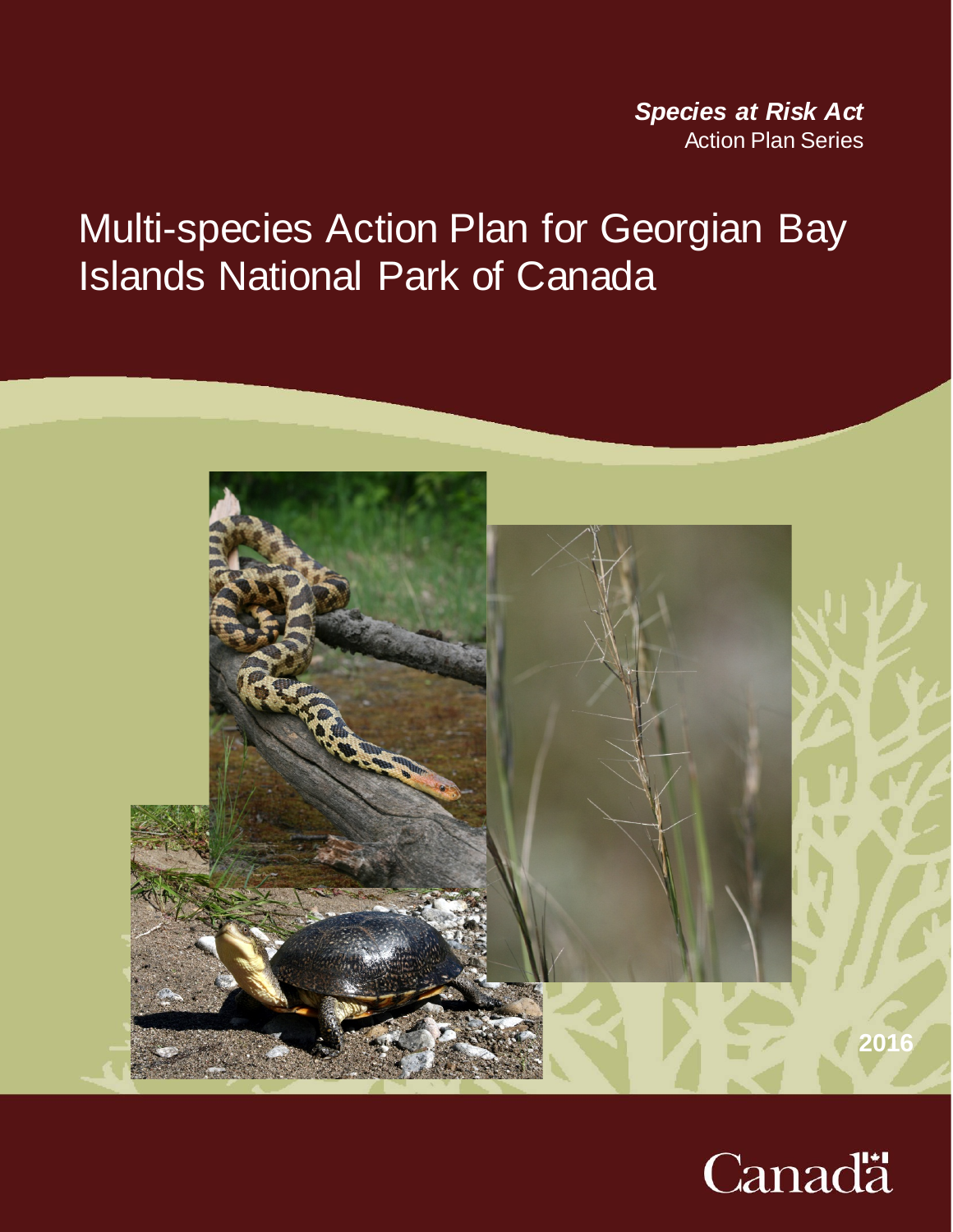<sup>2</sup> *Species at Risk Act* **Action Plan Series** 

# Multi-species Action Plan for Georgian Bay Islands National Park of Canada



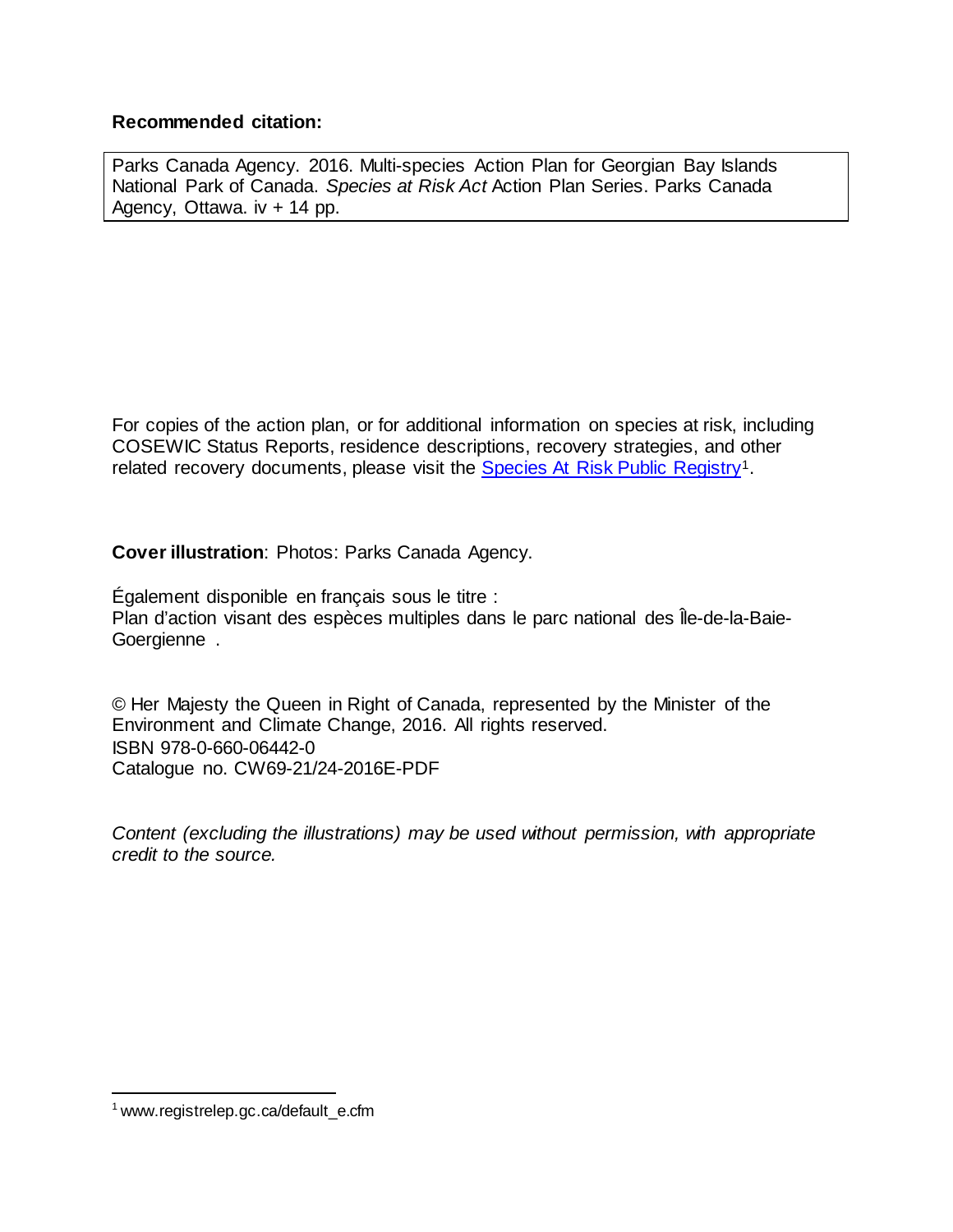#### **Recommended citation:**

Parks Canada Agency. 2016. Multi-species Action Plan for Georgian Bay Islands National Park of Canada. *Species at Risk Act* Action Plan Series. Parks Canada Agency, Ottawa. iv + 14 pp.

For copies of the action plan, or for additional information on species at risk, including COSEWIC Status Reports, residence descriptions, recovery strategies, and other related recovery documents, please visit the Species At Risk [Public Registry](http://www.registrelep.gc.ca/default_e.cfm)<sup>[1](#page-1-0)</sup>.

**Cover illustration**: Photos: Parks Canada Agency.

Également disponible en français sous le titre : Plan d'action visant des espèces multiples dans le parc national des Île-de-la-Baie-Goergienne .

© Her Majesty the Queen in Right of Canada, represented by the Minister of the Environment and Climate Change, 2016. All rights reserved. ISBN 978-0-660-06442-0 Catalogue no. CW69-21/24-2016E-PDF

*Content (excluding the illustrations) may be used without permission, with appropriate credit to the source.* 

<span id="page-1-0"></span> <sup>1</sup> www.registrelep.gc.ca/default\_e.cfm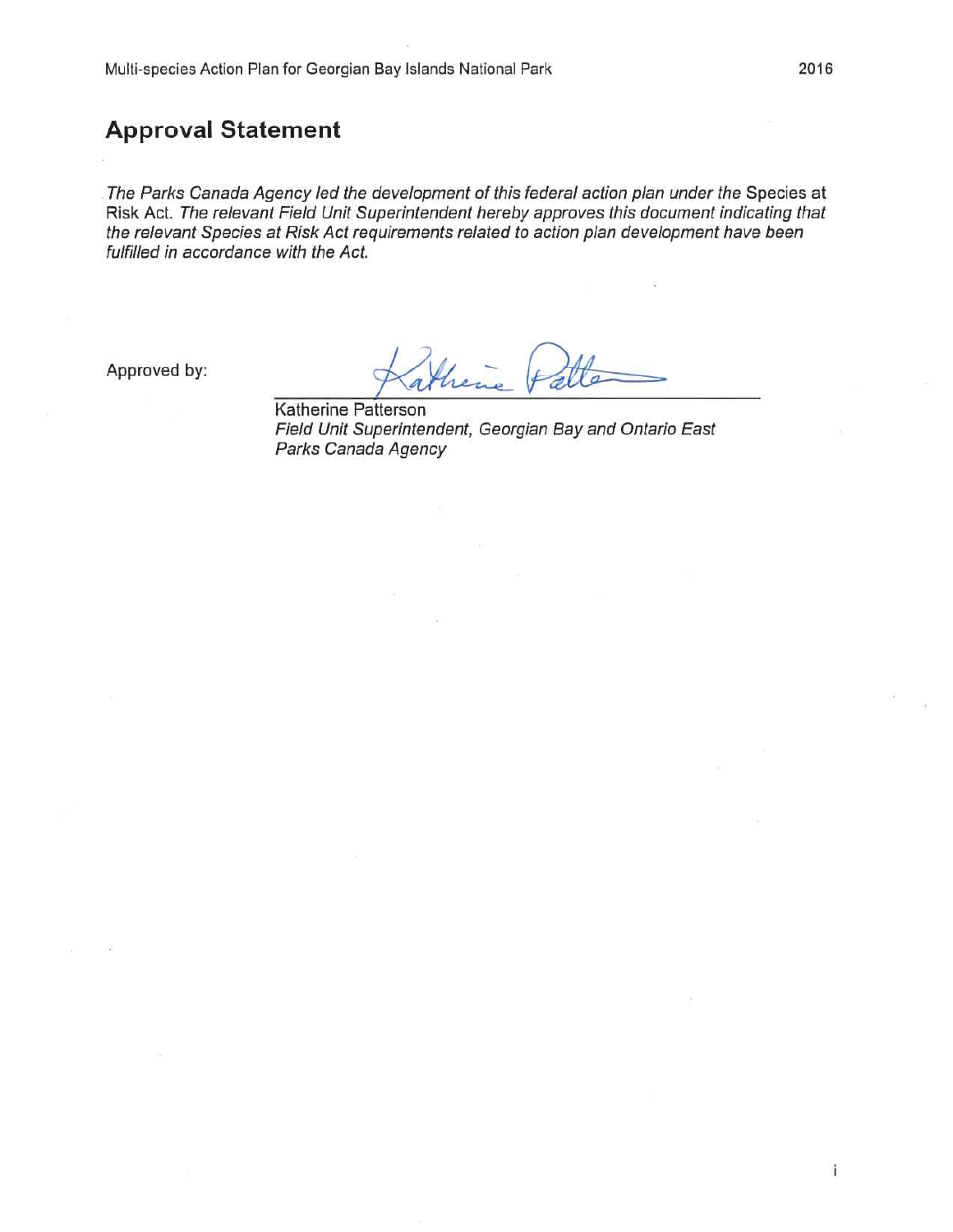#### **Approval Statement**

The Parks Canada Agency led the development of this federal action plan under the Species at Risk Act. The relevant Field Unit Superintendent hereby approves this document indicating that the relevant Species at Risk Act requirements related to action plan development have been fulfilled in accordance with the Act.

Approved by:

Katherine Patterson Field Unit Superintendent, Georgian Bay and Ontario East Parks Canada Agency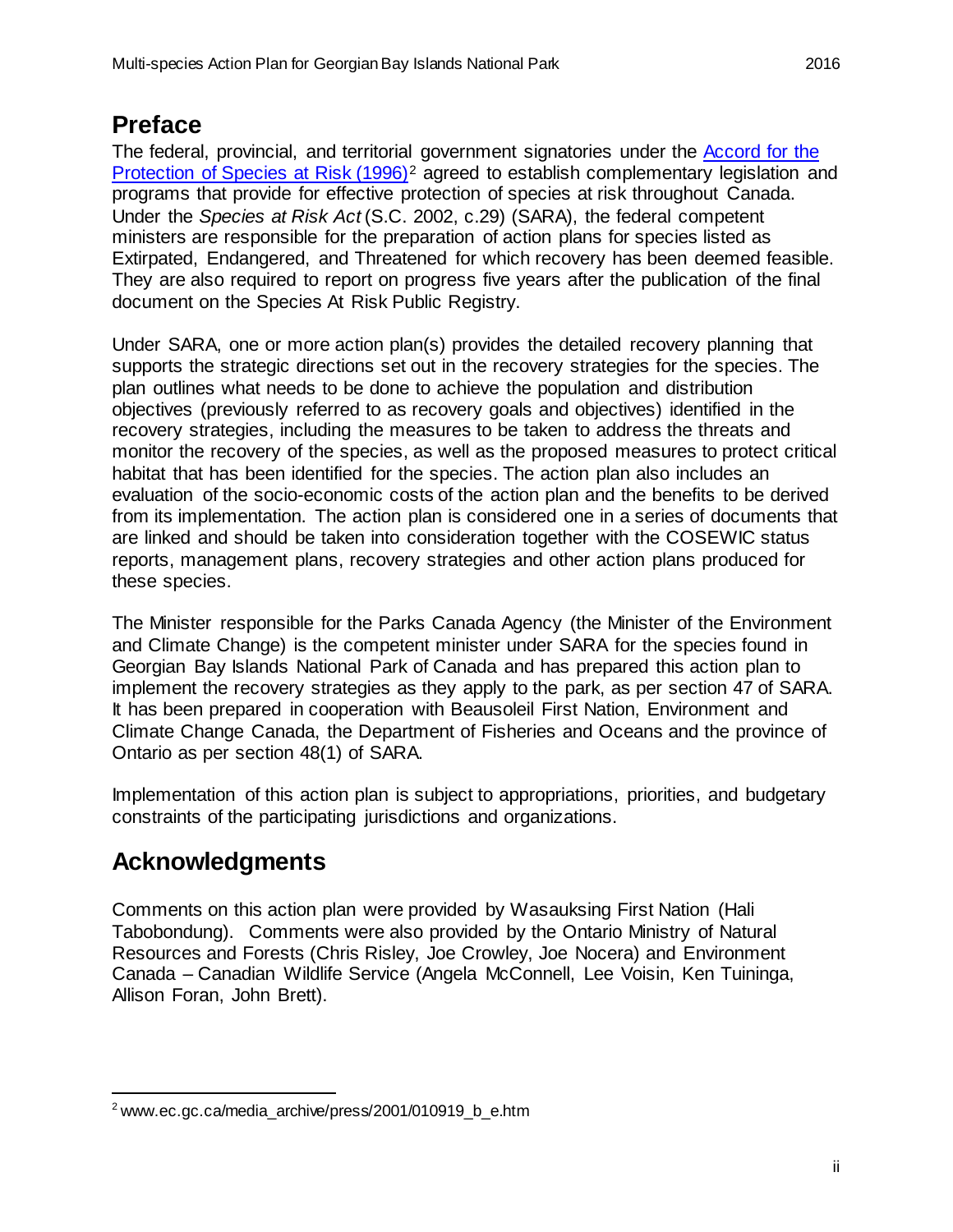### <span id="page-3-1"></span>**Preface**

The federal, provincial, and territorial government signatories under the [Accord for the](http://www.ec.gc.ca/media_archive/press/2001/010919_b_e.htm)  [Protection of Species at Risk \(1996\)](http://www.ec.gc.ca/media_archive/press/2001/010919_b_e.htm)<sup>[2](#page-3-0)</sup> agreed to establish complementary legislation and programs that provide for effective protection of species at risk throughout Canada. Under the *Species at Risk Act* (S.C. 2002, c.29) (SARA), the federal competent ministers are responsible for the preparation of action plans for species listed as Extirpated, Endangered, and Threatened for which recovery has been deemed feasible. They are also required to report on progress five years after the publication of the final document on the Species At Risk Public Registry.

Under SARA, one or more action plan(s) provides the detailed recovery planning that supports the strategic directions set out in the recovery strategies for the species. The plan outlines what needs to be done to achieve the population and distribution objectives (previously referred to as recovery goals and objectives) identified in the recovery strategies, including the measures to be taken to address the threats and monitor the recovery of the species, as well as the proposed measures to protect critical habitat that has been identified for the species. The action plan also includes an evaluation of the socio-economic costs of the action plan and the benefits to be derived from its implementation. The action plan is considered one in a series of documents that are linked and should be taken into consideration together with the COSEWIC status reports, management plans, recovery strategies and other action plans produced for these species.

The Minister responsible for the Parks Canada Agency (the Minister of the Environment and Climate Change) is the competent minister under SARA for the species found in Georgian Bay Islands National Park of Canada and has prepared this action plan to implement the recovery strategies as they apply to the park, as per section 47 of SARA. It has been prepared in cooperation with Beausoleil First Nation, Environment and Climate Change Canada, the Department of Fisheries and Oceans and the province of Ontario as per section 48(1) of SARA.

Implementation of this action plan is subject to appropriations, priorities, and budgetary constraints of the participating jurisdictions and organizations.

## <span id="page-3-2"></span>**Acknowledgments**

Comments on this action plan were provided by Wasauksing First Nation (Hali Tabobondung). Comments were also provided by the Ontario Ministry of Natural Resources and Forests (Chris Risley, Joe Crowley, Joe Nocera) and Environment Canada – Canadian Wildlife Service (Angela McConnell, Lee Voisin, Ken Tuininga, Allison Foran, John Brett).

<span id="page-3-0"></span> $2$  www.ec.gc.ca/media\_archive/press/2001/010919\_b\_e.htm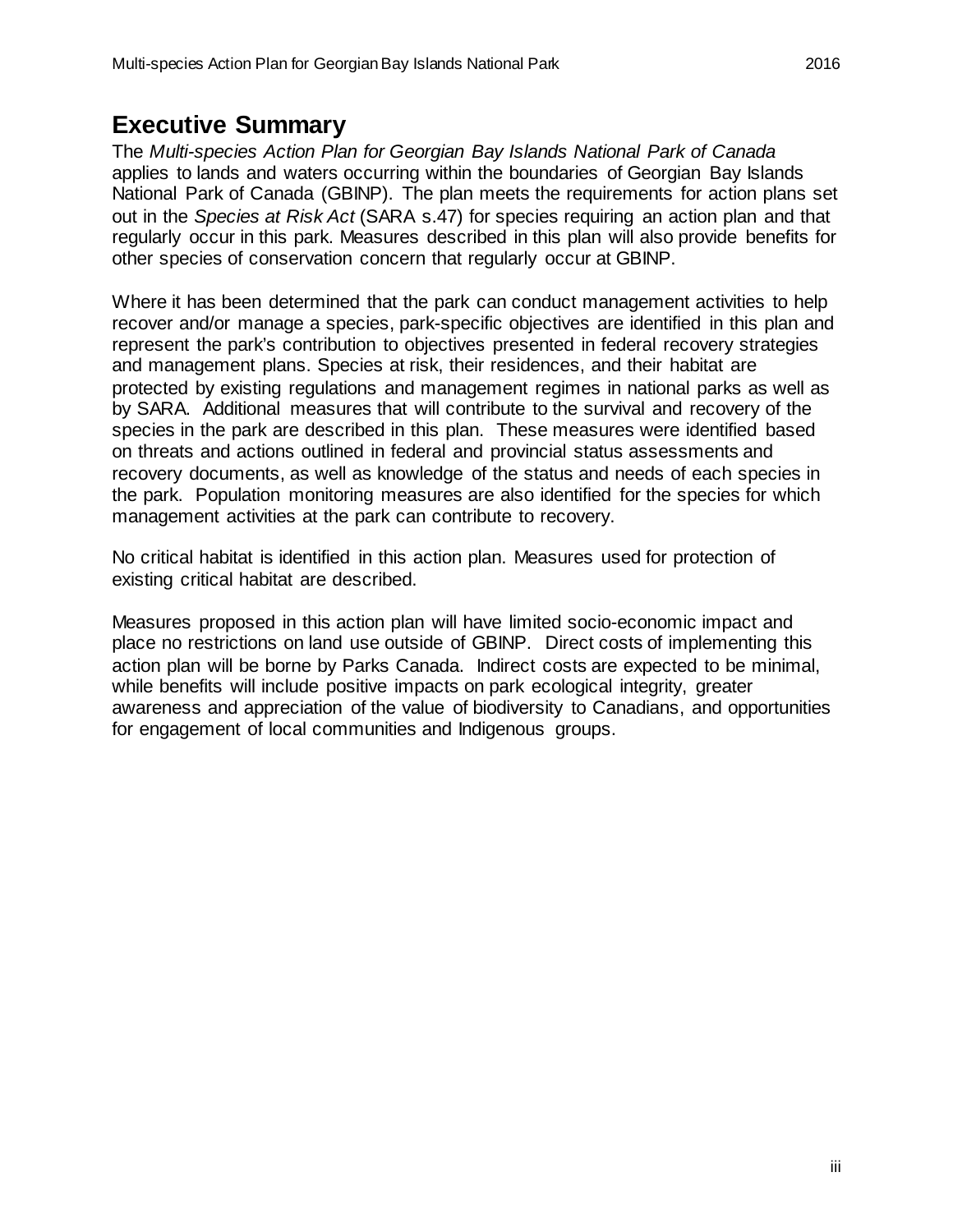#### <span id="page-4-0"></span>**Executive Summary**

The *Multi-species Action Plan for Georgian Bay Islands National Park of Canada* applies to lands and waters occurring within the boundaries of Georgian Bay Islands National Park of Canada (GBINP). The plan meets the requirements for action plans set out in the *Species at Risk Act* (SARA s.47) for species requiring an action plan and that regularly occur in this park. Measures described in this plan will also provide benefits for other species of conservation concern that regularly occur at GBINP.

Where it has been determined that the park can conduct management activities to help recover and/or manage a species, park-specific objectives are identified in this plan and represent the park's contribution to objectives presented in federal recovery strategies and management plans. Species at risk, their residences, and their habitat are protected by existing regulations and management regimes in national parks as well as by SARA. Additional measures that will contribute to the survival and recovery of the species in the park are described in this plan. These measures were identified based on threats and actions outlined in federal and provincial status assessments and recovery documents, as well as knowledge of the status and needs of each species in the park. Population monitoring measures are also identified for the species for which management activities at the park can contribute to recovery.

No critical habitat is identified in this action plan. Measures used for protection of existing critical habitat are described.

Measures proposed in this action plan will have limited socio-economic impact and place no restrictions on land use outside of GBINP. Direct costs of implementing this action plan will be borne by Parks Canada. Indirect costs are expected to be minimal, while benefits will include positive impacts on park ecological integrity, greater awareness and appreciation of the value of biodiversity to Canadians, and opportunities for engagement of local communities and Indigenous groups.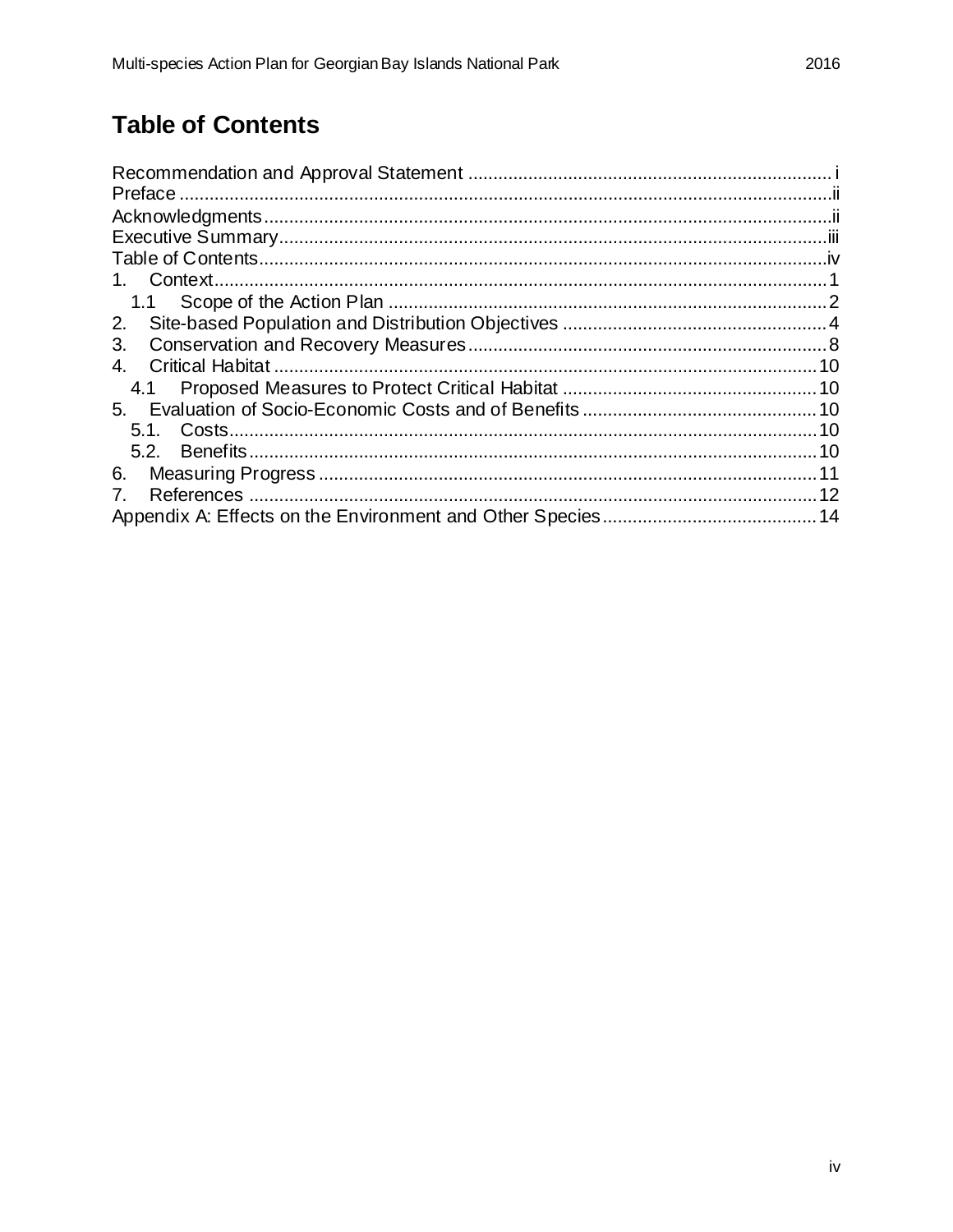## <span id="page-5-0"></span>**Table of Contents**

| 3.                             |  |
|--------------------------------|--|
|                                |  |
|                                |  |
|                                |  |
|                                |  |
|                                |  |
|                                |  |
| $7_{\scriptscriptstyle{\sim}}$ |  |
|                                |  |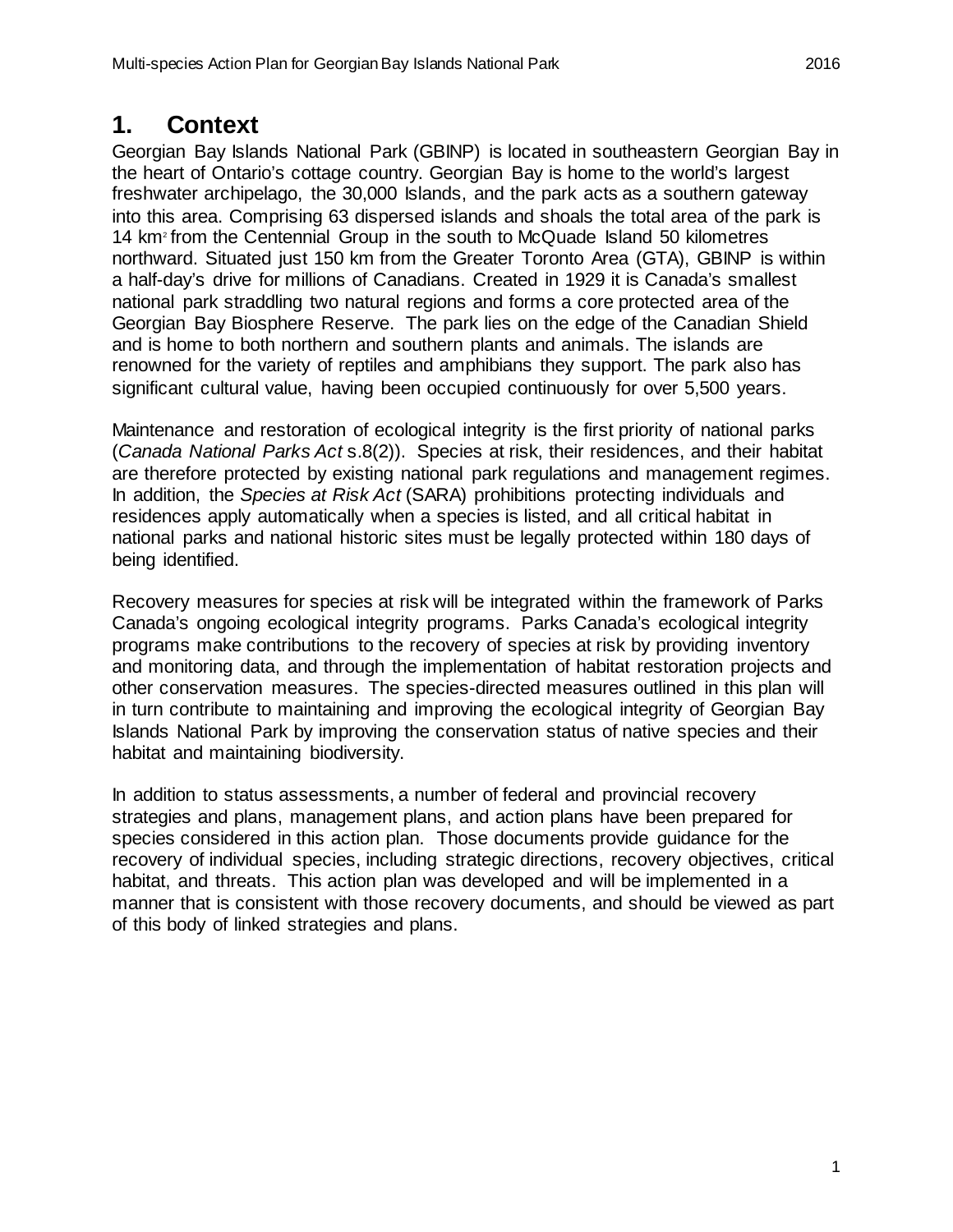### <span id="page-6-0"></span>**1. Context**

Georgian Bay Islands National Park (GBINP) is located in southeastern Georgian Bay in the heart of Ontario's cottage country. Georgian Bay is home to the world's largest freshwater archipelago, the 30,000 Islands, and the park acts as a southern gateway into this area. Comprising 63 dispersed islands and shoals the total area of the park is 14 km2 from the Centennial Group in the south to McQuade Island 50 kilometres northward. Situated just 150 km from the Greater Toronto Area (GTA), GBINP is within a half-day's drive for millions of Canadians. Created in 1929 it is Canada's smallest national park straddling two natural regions and forms a core protected area of the Georgian Bay Biosphere Reserve. The park lies on the edge of the Canadian Shield and is home to both northern and southern plants and animals. The islands are renowned for the variety of reptiles and amphibians they support. The park also has significant cultural value, having been occupied continuously for over 5,500 years.

Maintenance and restoration of ecological integrity is the first priority of national parks (*Canada National Parks Act* s.8(2)). Species at risk, their residences, and their habitat are therefore protected by existing national park regulations and management regimes. In addition, the *Species at Risk Act* (SARA) prohibitions protecting individuals and residences apply automatically when a species is listed, and all critical habitat in national parks and national historic sites must be legally protected within 180 days of being identified.

Recovery measures for species at risk will be integrated within the framework of Parks Canada's ongoing ecological integrity programs. Parks Canada's ecological integrity programs make contributions to the recovery of species at risk by providing inventory and monitoring data, and through the implementation of habitat restoration projects and other conservation measures. The species-directed measures outlined in this plan will in turn contribute to maintaining and improving the ecological integrity of Georgian Bay Islands National Park by improving the conservation status of native species and their habitat and maintaining biodiversity.

In addition to status assessments, a number of federal and provincial recovery strategies and plans, management plans, and action plans have been prepared for species considered in this action plan. Those documents provide guidance for the recovery of individual species, including strategic directions, recovery objectives, critical habitat, and threats. This action plan was developed and will be implemented in a manner that is consistent with those recovery documents, and should be viewed as part of this body of linked strategies and plans.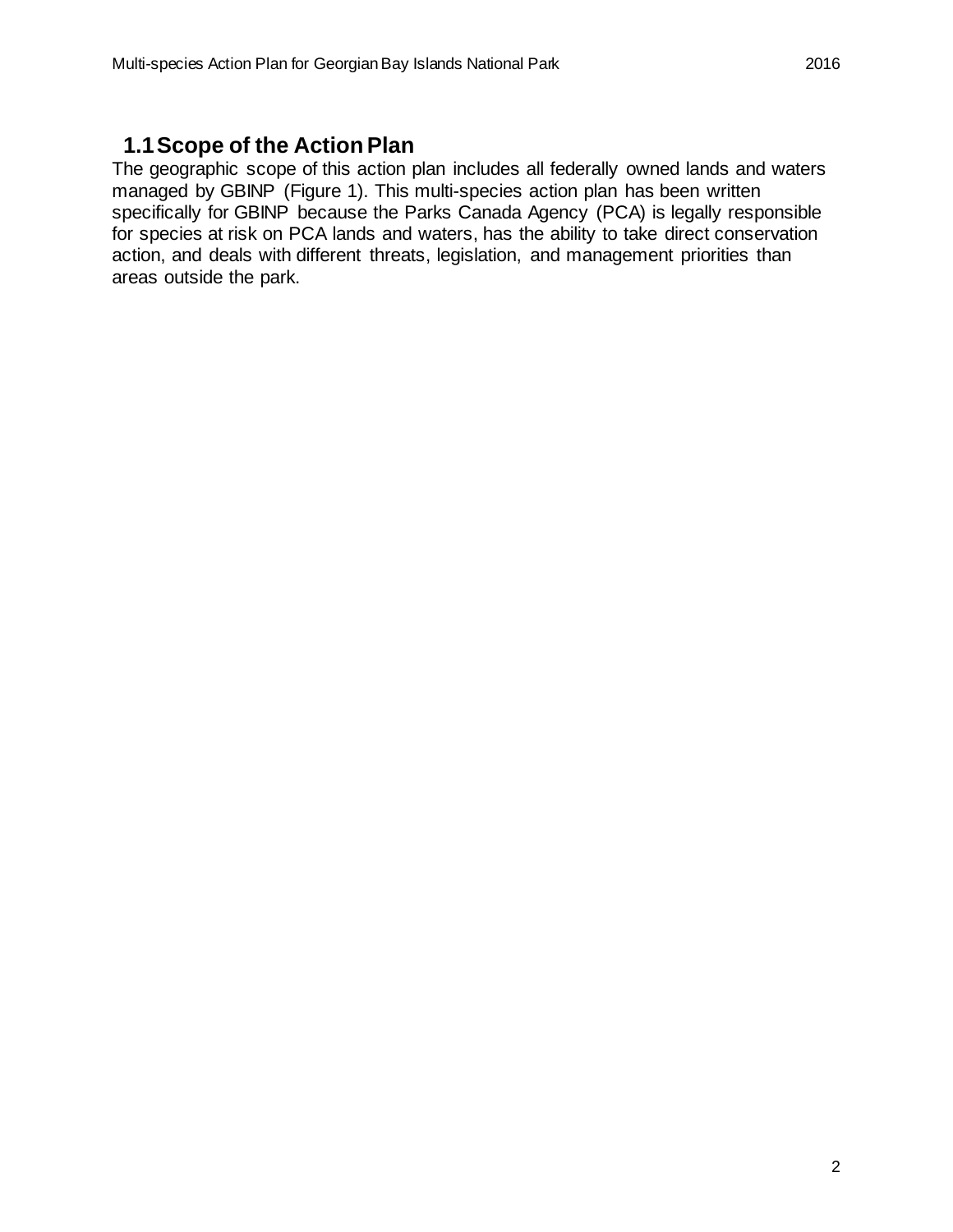#### <span id="page-7-0"></span>**1.1Scope of the Action Plan**

The geographic scope of this action plan includes all federally owned lands and waters managed by GBINP (Figure 1). This multi-species action plan has been written specifically for GBINP because the Parks Canada Agency (PCA) is legally responsible for species at risk on PCA lands and waters, has the ability to take direct conservation action, and deals with different threats, legislation, and management priorities than areas outside the park.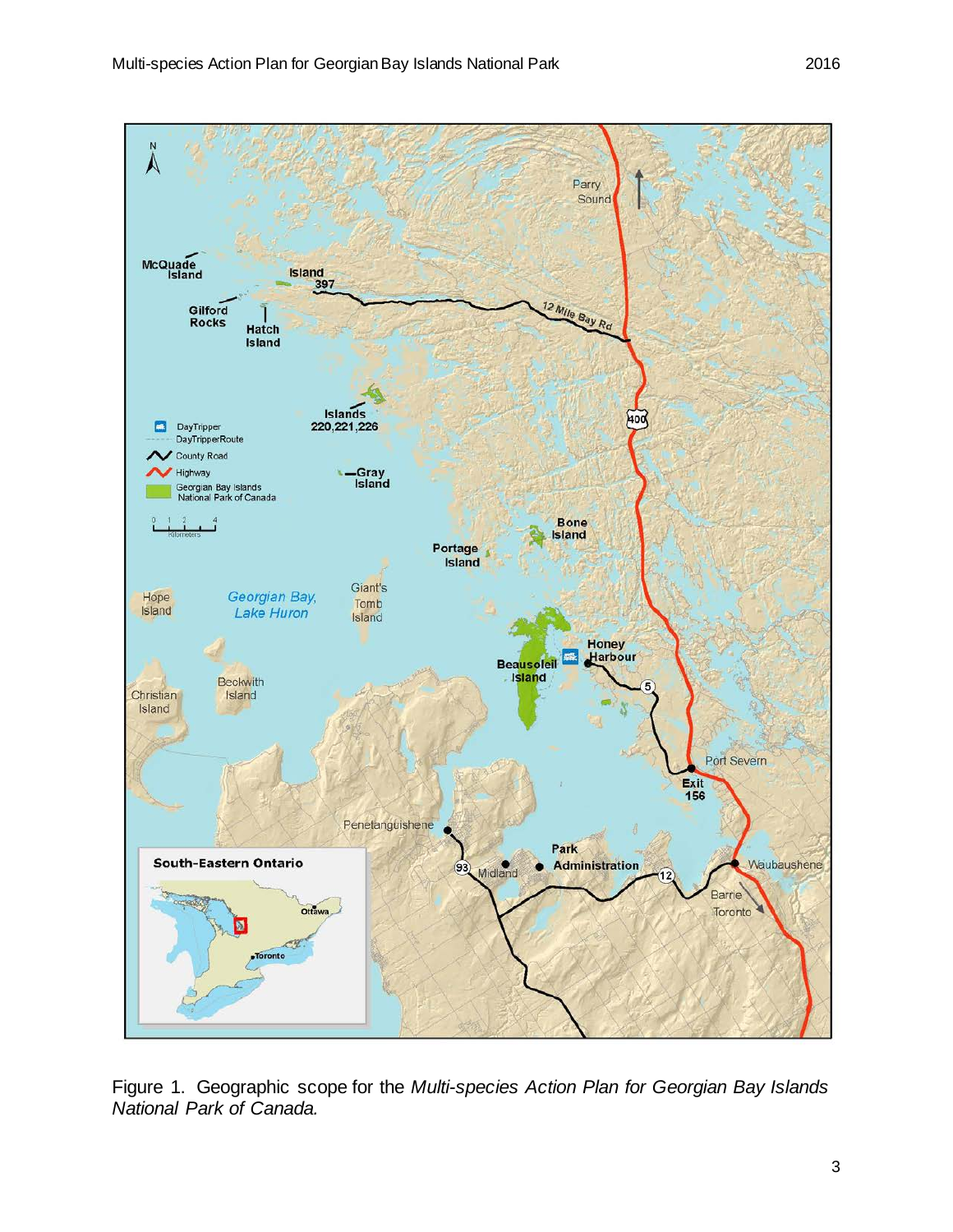

Figure 1. Geographic scope for the *Multi-species Action Plan for Georgian Bay Islands National Park of Canada.*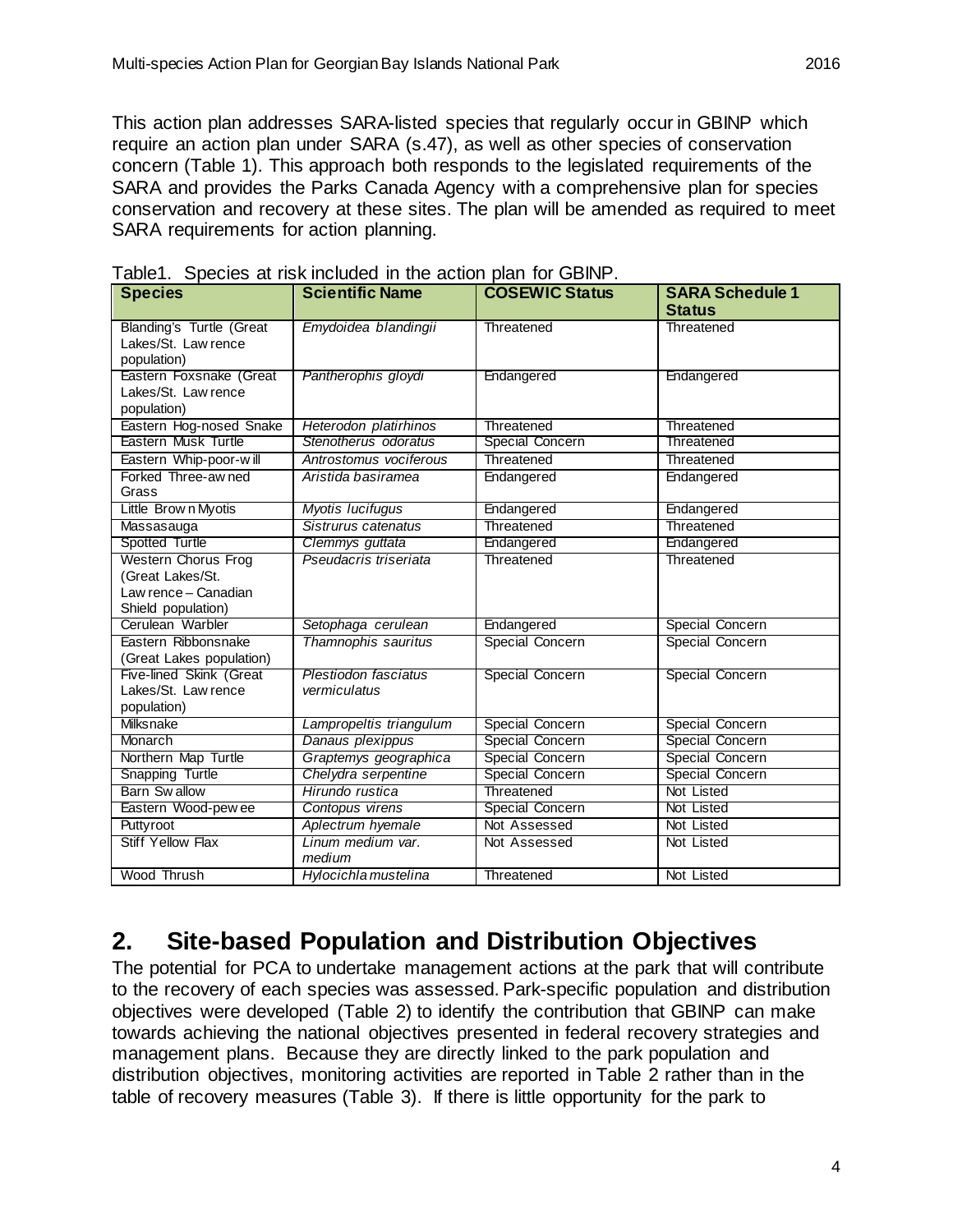This action plan addresses SARA-listed species that regularly occur in GBINP which require an action plan under SARA (s.47), as well as other species of conservation concern (Table 1). This approach both responds to the legislated requirements of the SARA and provides the Parks Canada Agency with a comprehensive plan for species conservation and recovery at these sites. The plan will be amended as required to meet SARA requirements for action planning.

| . <b>.</b><br><b>Species</b>                                                                 | <b>Scientific Name</b>               | <b>COSEWIC Status</b> | <b>SARA Schedule 1</b><br><b>Status</b> |  |
|----------------------------------------------------------------------------------------------|--------------------------------------|-----------------------|-----------------------------------------|--|
| Blanding's Turtle (Great<br>Lakes/St. Law rence<br>population)                               | Emydoidea blandingii                 | Threatened            | Threatened                              |  |
| Eastern Foxsnake (Great<br>Lakes/St. Law rence<br>population)                                | Pantherophis gloydi                  | Endangered            | Endangered                              |  |
| Eastern Hog-nosed Snake                                                                      | Heterodon platirhinos                | Threatened            | Threatened                              |  |
| Eastern Musk Turtle                                                                          | Stenotherus odoratus                 | Special Concern       | Threatened                              |  |
| Eastern Whip-poor-will                                                                       | Antrostomus vociferous               | Threatened            | Threatened                              |  |
| Forked Three-aw ned<br>Grass                                                                 | Aristida basiramea                   | Endangered            | Endangered                              |  |
| Little Brown Myotis                                                                          | Myotis lucifugus                     | Endangered            | Endangered                              |  |
| Massasauga                                                                                   | Sistrurus catenatus                  | Threatened            | Threatened                              |  |
| Spotted Turtle                                                                               | Clemmys guttata                      | Endangered            | Endangered                              |  |
| <b>Western Chorus Frog</b><br>(Great Lakes/St.<br>Law rence - Canadian<br>Shield population) | Pseudacris triseriata                | Threatened            | Threatened                              |  |
| Cerulean Warbler                                                                             | Setophaga cerulean                   | Endangered            | Special Concern                         |  |
| Eastern Ribbonsnake<br>(Great Lakes population)                                              | Thamnophis sauritus                  | Special Concern       | Special Concern                         |  |
| Five-lined Skink (Great<br>Lakes/St. Law rence<br>population)                                | Plestiodon fasciatus<br>vermiculatus | Special Concern       | Special Concern                         |  |
| Milksnake                                                                                    | Lampropeltis triangulum              | Special Concern       | Special Concern                         |  |
| Monarch                                                                                      | Danaus plexippus                     | Special Concern       | Special Concern                         |  |
| Northern Map Turtle                                                                          | Graptemys geographica                | Special Concern       | Special Concern                         |  |
| Snapping Turtle                                                                              | Chelydra serpentine                  | Special Concern       | Special Concern                         |  |
| Barn Swallow                                                                                 | Hirundo rustica                      | Threatened            | Not Listed                              |  |
| Eastern Wood-pew ee                                                                          | Contopus virens                      | Special Concern       | Not Listed                              |  |
| Puttyroot                                                                                    | Aplectrum hyemale                    | Not Assessed          | Not Listed                              |  |
| <b>Stiff Yellow Flax</b>                                                                     | Linum medium var.<br>medium          |                       | Not Listed                              |  |
| Wood Thrush                                                                                  | Hylocichla mustelina                 | Threatened            | Not Listed                              |  |

Table1. Species at risk included in the action plan for GBINP.

## <span id="page-9-0"></span>**2. Site-based Population and Distribution Objectives**

The potential for PCA to undertake management actions at the park that will contribute to the recovery of each species was assessed. Park-specific population and distribution objectives were developed (Table 2) to identify the contribution that GBINP can make towards achieving the national objectives presented in federal recovery strategies and management plans. Because they are directly linked to the park population and distribution objectives, monitoring activities are reported in Table 2 rather than in the table of recovery measures (Table 3). If there is little opportunity for the park to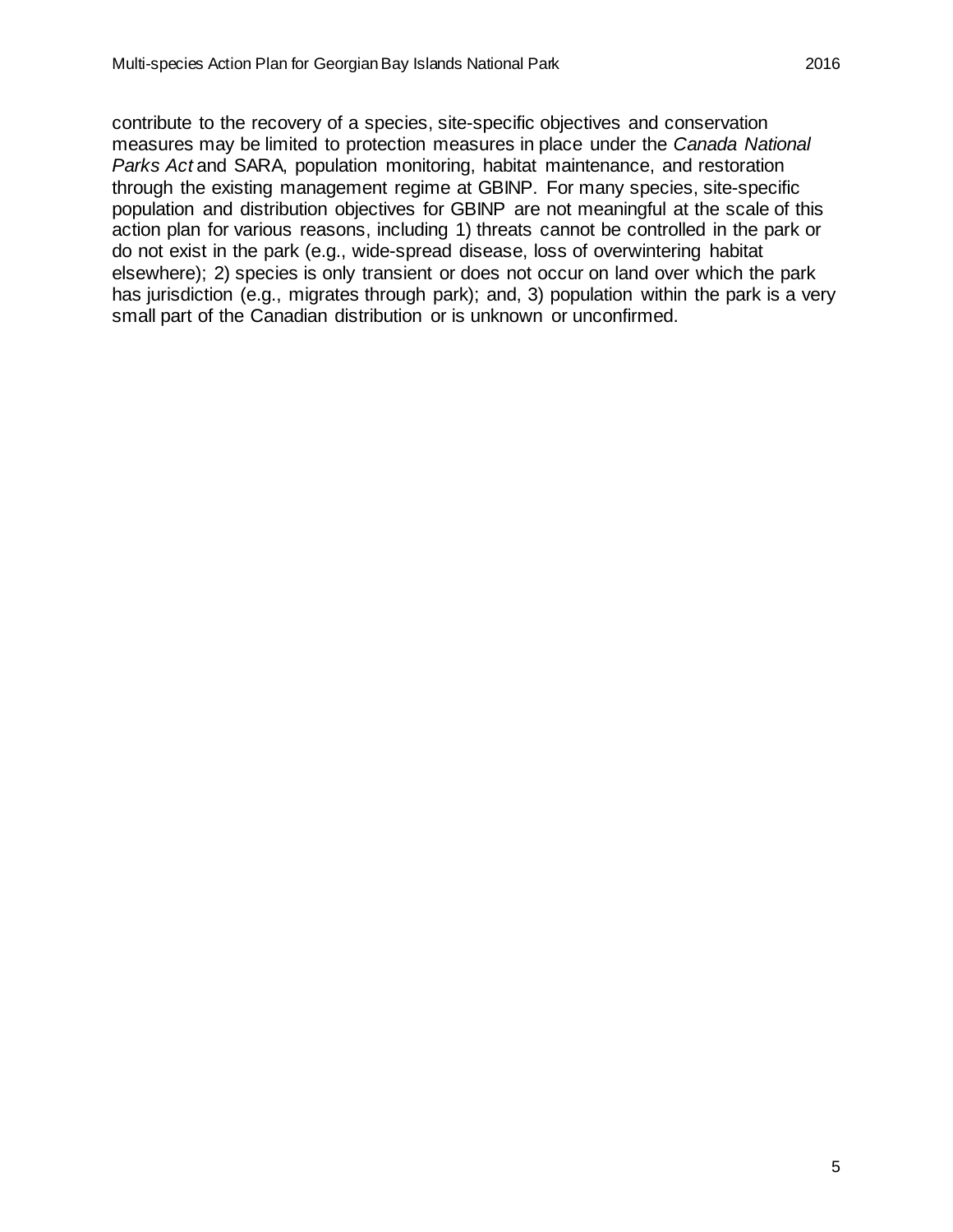contribute to the recovery of a species, site-specific objectives and conservation measures may be limited to protection measures in place under the *Canada National Parks Act* and SARA, population monitoring, habitat maintenance, and restoration through the existing management regime at GBINP. For many species, site-specific population and distribution objectives for GBINP are not meaningful at the scale of this action plan for various reasons, including 1) threats cannot be controlled in the park or do not exist in the park (e.g., wide-spread disease, loss of overwintering habitat elsewhere); 2) species is only transient or does not occur on land over which the park has jurisdiction (e.g., migrates through park); and, 3) population within the park is a very small part of the Canadian distribution or is unknown or unconfirmed.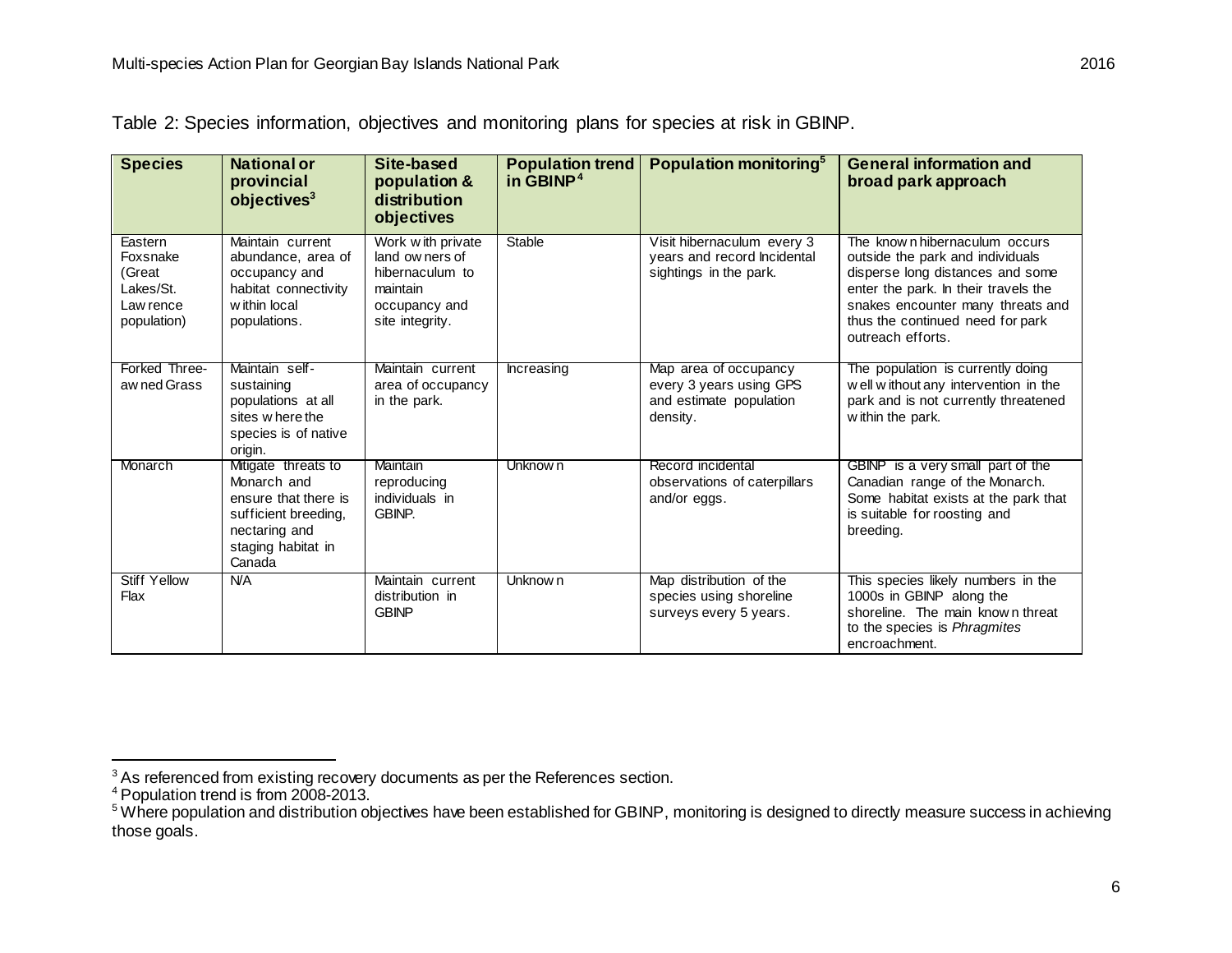| <b>Species</b>                                                         | <b>National or</b><br>provincial<br>objectives <sup>3</sup>                                                                         | Site-based<br>population &<br>distribution<br>objectives                                                | <b>Population trend</b><br>in GBINP <sup>4</sup> | Population monitoring <sup>5</sup>                                                      | <b>General information and</b><br>broad park approach                                                                                                                                                                                       |
|------------------------------------------------------------------------|-------------------------------------------------------------------------------------------------------------------------------------|---------------------------------------------------------------------------------------------------------|--------------------------------------------------|-----------------------------------------------------------------------------------------|---------------------------------------------------------------------------------------------------------------------------------------------------------------------------------------------------------------------------------------------|
| Eastern<br>Foxsnake<br>(Great<br>Lakes/St.<br>Law rence<br>population) | Maintain current<br>abundance, area of<br>occupancy and<br>habitat connectivity<br>w ithin local<br>populations.                    | Work with private<br>land ow ners of<br>hibernaculum to<br>maintain<br>occupancy and<br>site integrity. | Stable                                           | Visit hibernaculum every 3<br>years and record Incidental<br>sightings in the park.     | The known hibernaculum occurs<br>outside the park and individuals<br>disperse long distances and some<br>enter the park. In their travels the<br>snakes encounter many threats and<br>thus the continued need for park<br>outreach efforts. |
| Forked Three-<br>aw ned Grass                                          | Maintain self-<br>sustaining<br>populations at all<br>sites w here the<br>species is of native<br>origin.                           | Maintain current<br>area of occupancy<br>in the park.                                                   | Increasing                                       | Map area of occupancy<br>every 3 years using GPS<br>and estimate population<br>density. | The population is currently doing<br>well without any intervention in the<br>park and is not currently threatened<br>within the park.                                                                                                       |
| Monarch                                                                | Mitigate threats to<br>Monarch and<br>ensure that there is<br>sufficient breeding,<br>nectaring and<br>staging habitat in<br>Canada | Maintain<br>reproducing<br>individuals in<br><b>GBINP.</b>                                              | Unknow n                                         | Record incidental<br>observations of caterpillars<br>and/or eggs.                       | GBINP is a very small part of the<br>Canadian range of the Monarch.<br>Some habitat exists at the park that<br>is suitable for roosting and<br>breeding.                                                                                    |
| <b>Stiff Yellow</b><br>Flax                                            | <b>N/A</b>                                                                                                                          | Maintain current<br>distribution in<br><b>GBINP</b>                                                     | Unknow <sub>n</sub>                              | Map distribution of the<br>species using shoreline<br>surveys every 5 years.            | This species likely numbers in the<br>1000s in GBINP along the<br>shoreline. The main known threat<br>to the species is Phragmites<br>encroachment.                                                                                         |

<span id="page-11-2"></span><span id="page-11-1"></span><span id="page-11-0"></span>Table 2: Species information, objectives and monitoring plans for species at risk in GBINP.

 $\frac{3}{3}$ As referenced from existing recovery documents as per the References section.

<sup>&</sup>lt;sup>4</sup> Population trend is from 2008-2013.

<sup>&</sup>lt;sup>5</sup> Where population and distribution objectives have been established for GBINP, monitoring is designed to directly measure success in achieving those goals.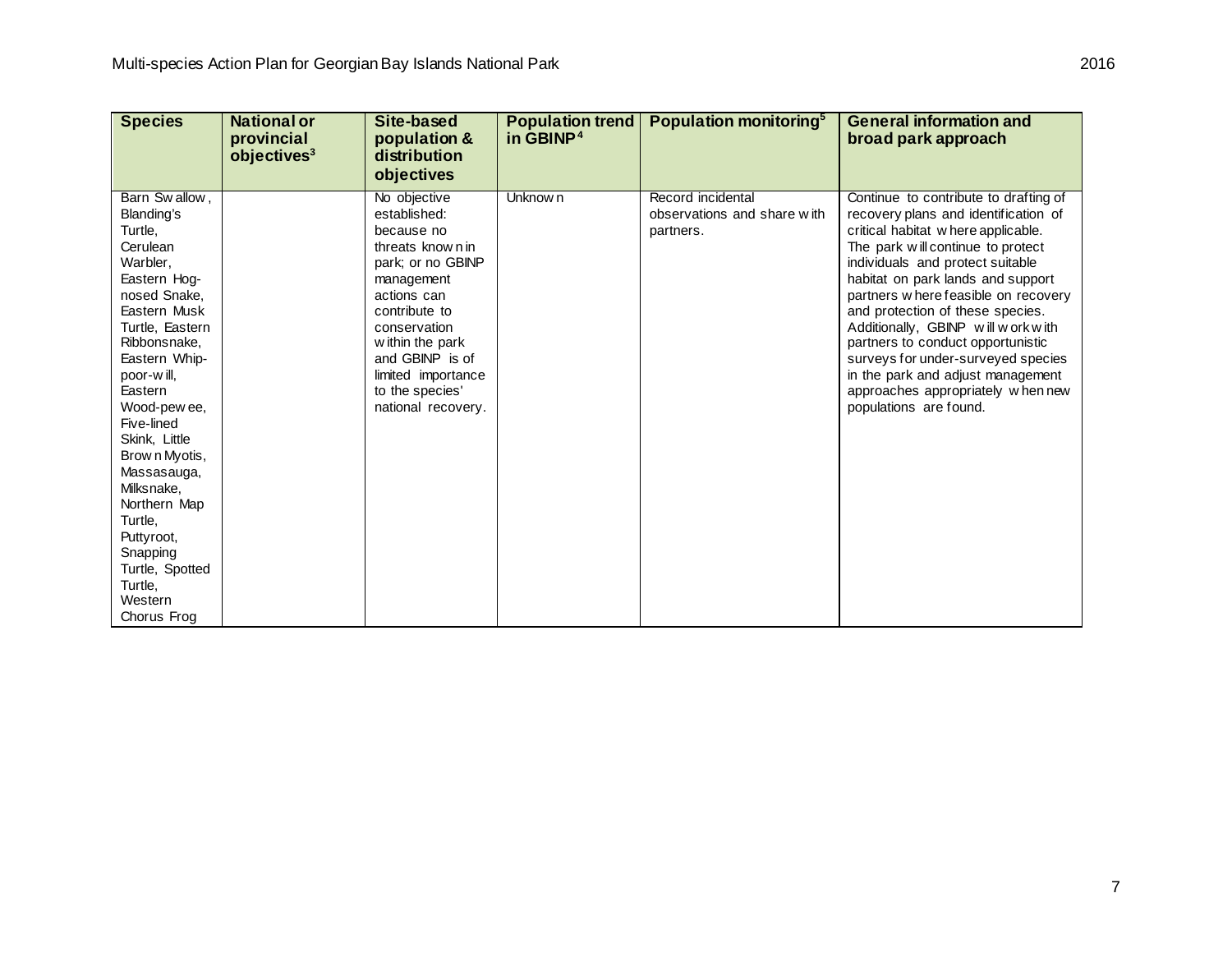| <b>Species</b>                                                                                                                                                                                                                                                                                                                                                                                         | <b>National or</b><br>provincial<br>objectives <sup>3</sup> | Site-based<br>population &<br>distribution<br>objectives                                                                                                                                                                                               | <b>Population trend</b><br>in GBINP <sup>4</sup> | Population monitoring <sup>5</sup>                            | <b>General information and</b><br>broad park approach                                                                                                                                                                                                                                                                                                                                                                                                                                                                              |
|--------------------------------------------------------------------------------------------------------------------------------------------------------------------------------------------------------------------------------------------------------------------------------------------------------------------------------------------------------------------------------------------------------|-------------------------------------------------------------|--------------------------------------------------------------------------------------------------------------------------------------------------------------------------------------------------------------------------------------------------------|--------------------------------------------------|---------------------------------------------------------------|------------------------------------------------------------------------------------------------------------------------------------------------------------------------------------------------------------------------------------------------------------------------------------------------------------------------------------------------------------------------------------------------------------------------------------------------------------------------------------------------------------------------------------|
| Barn Swallow,<br>Blanding's<br>Turtle,<br>Cerulean<br>Warbler,<br>Eastern Hog-<br>nosed Snake,<br>Eastern Musk<br>Turtle, Eastern<br>Ribbonsnake,<br>Eastern Whip-<br>poor-will,<br>Eastern<br>Wood-pew ee,<br>Five-lined<br>Skink, Little<br>Brow n Myotis,<br>Massasauga,<br>Milksnake,<br>Northern Map<br>Turtle,<br>Puttyroot,<br>Snapping<br>Turtle, Spotted<br>Turtle,<br>Western<br>Chorus Frog |                                                             | No objective<br>established:<br>because no<br>threats known in<br>park; or no GBINP<br>management<br>actions can<br>contribute to<br>conservation<br>within the park<br>and GBINP is of<br>limited importance<br>to the species'<br>national recovery. | Unknow n                                         | Record incidental<br>observations and share with<br>partners. | Continue to contribute to drafting of<br>recovery plans and identification of<br>critical habitat where applicable.<br>The park will continue to protect<br>individuals and protect suitable<br>habitat on park lands and support<br>partners w here feasible on recovery<br>and protection of these species.<br>Additionally, GBINP will work with<br>partners to conduct opportunistic<br>surveys for under-surveyed species<br>in the park and adjust management<br>approaches appropriately when new<br>populations are found. |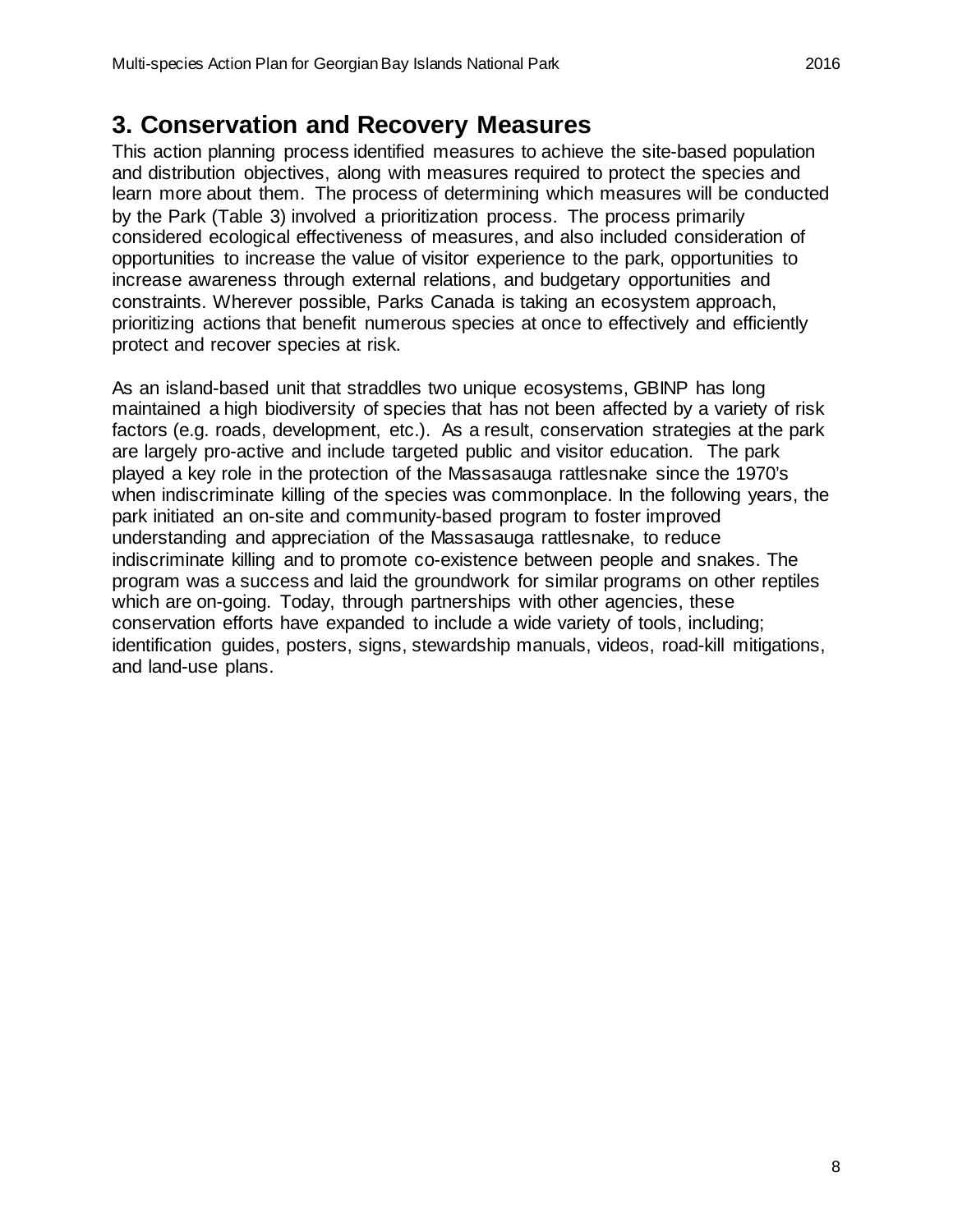#### <span id="page-13-0"></span>**3. Conservation and Recovery Measures**

This action planning process identified measures to achieve the site-based population and distribution objectives, along with measures required to protect the species and learn more about them. The process of determining which measures will be conducted by the Park (Table 3) involved a prioritization process. The process primarily considered ecological effectiveness of measures, and also included consideration of opportunities to increase the value of visitor experience to the park, opportunities to increase awareness through external relations, and budgetary opportunities and constraints. Wherever possible, Parks Canada is taking an ecosystem approach, prioritizing actions that benefit numerous species at once to effectively and efficiently protect and recover species at risk.

As an island-based unit that straddles two unique ecosystems, GBINP has long maintained a high biodiversity of species that has not been affected by a variety of risk factors (e.g. roads, development, etc.). As a result, conservation strategies at the park are largely pro-active and include targeted public and visitor education. The park played a key role in the protection of the Massasauga rattlesnake since the 1970's when indiscriminate killing of the species was commonplace. In the following years, the park initiated an on-site and community-based program to foster improved understanding and appreciation of the Massasauga rattlesnake, to reduce indiscriminate killing and to promote co-existence between people and snakes. The program was a success and laid the groundwork for similar programs on other reptiles which are on-going. Today, through partnerships with other agencies, these conservation efforts have expanded to include a wide variety of tools, including; identification guides, posters, signs, stewardship manuals, videos, road-kill mitigations, and land-use plans.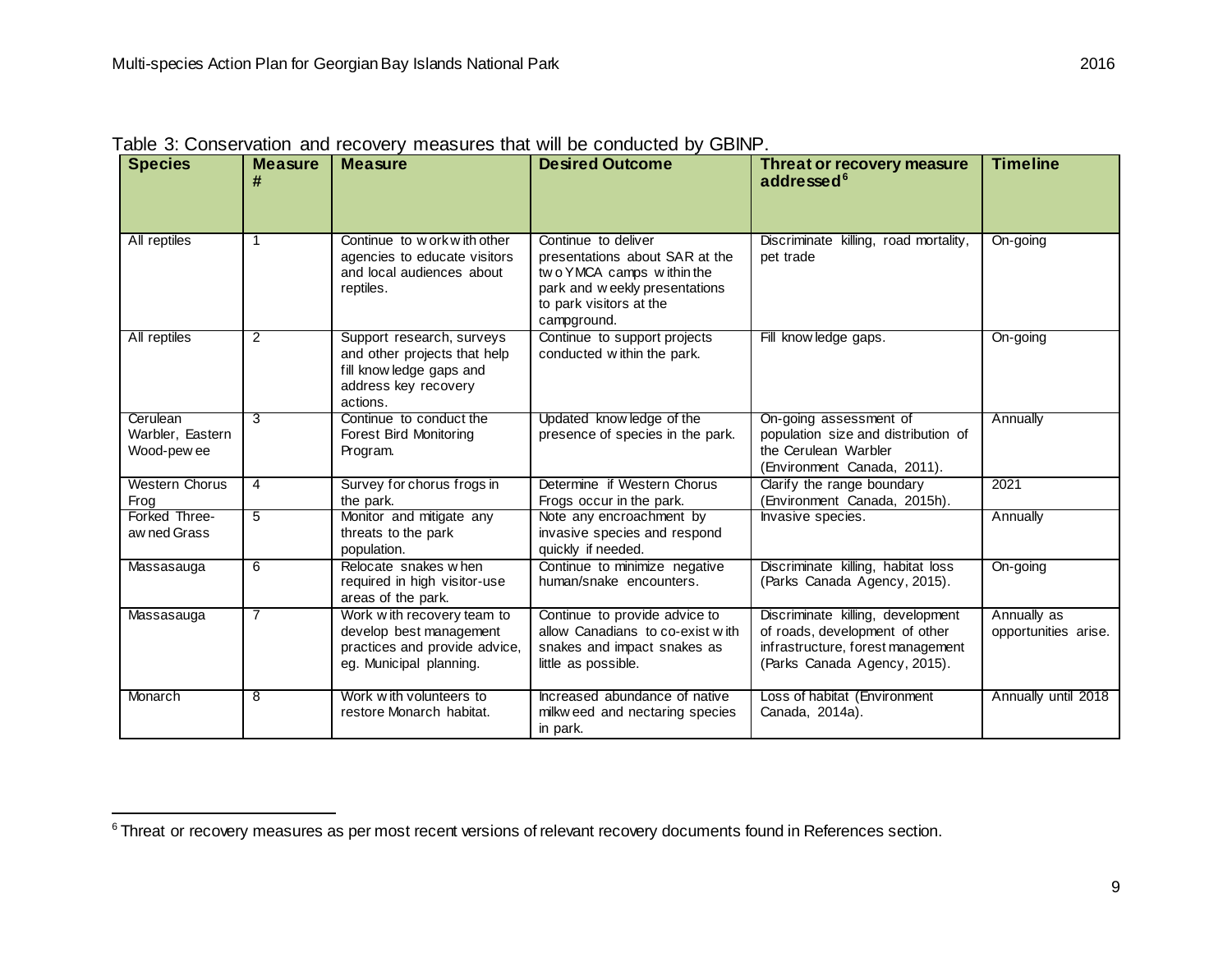| <b>Species</b>                              | <b>Measure</b><br># | <b>Measure</b>                                                                                                            | <b>Desired Outcome</b>                                                                                                                                        | <b>Threat or recovery measure</b><br>addressed <sup>6</sup>                                                                              | <b>Timeline</b>                     |
|---------------------------------------------|---------------------|---------------------------------------------------------------------------------------------------------------------------|---------------------------------------------------------------------------------------------------------------------------------------------------------------|------------------------------------------------------------------------------------------------------------------------------------------|-------------------------------------|
| All reptiles                                | $\mathbf{1}$        | Continue to w ork w ith other<br>agencies to educate visitors<br>and local audiences about<br>reptiles.                   | Continue to deliver<br>presentations about SAR at the<br>two YMCA camps within the<br>park and weekly presentations<br>to park visitors at the<br>campground. | Discriminate killing, road mortality,<br>pet trade                                                                                       | On-going                            |
| All reptiles                                | $\overline{2}$      | Support research, surveys<br>and other projects that help<br>fill know ledge gaps and<br>address key recovery<br>actions. | Continue to support projects<br>conducted within the park.                                                                                                    | Fill know ledge gaps.                                                                                                                    | On-going                            |
| Cerulean<br>Warbler, Eastern<br>Wood-pew ee | 3                   | Continue to conduct the<br><b>Forest Bird Monitoring</b><br>Program.                                                      | Updated know ledge of the<br>presence of species in the park.                                                                                                 | On-going assessment of<br>population size and distribution of<br>the Cerulean Warbler<br>(Environment Canada, 2011).                     | Annually                            |
| Western Chorus<br>Frog                      | $\overline{4}$      | Survey for chorus frogs in<br>the park.                                                                                   | Determine if Western Chorus<br>Frogs occur in the park.                                                                                                       | Clarify the range boundary<br>(Environment Canada, 2015h).                                                                               | 2021                                |
| Forked Three-<br>aw ned Grass               | 5                   | Monitor and mitigate any<br>threats to the park<br>population.                                                            | Note any encroachment by<br>invasive species and respond<br>quickly if needed.                                                                                | Invasive species.                                                                                                                        | Annually                            |
| Massasauga                                  | 6                   | Relocate snakes when<br>required in high visitor-use<br>areas of the park.                                                | Continue to minimize negative<br>human/snake encounters.                                                                                                      | Discriminate killing, habitat loss<br>(Parks Canada Agency, 2015).                                                                       | On-going                            |
| Massasauga                                  | 7                   | Work with recovery team to<br>develop best management<br>practices and provide advice,<br>eg. Municipal planning.         | Continue to provide advice to<br>allow Canadians to co-exist with<br>snakes and impact snakes as<br>little as possible.                                       | Discriminate killing, development<br>of roads, development of other<br>infrastructure, forest management<br>(Parks Canada Agency, 2015). | Annually as<br>opportunities arise. |
| Monarch                                     | 8                   | Work with volunteers to<br>restore Monarch habitat.                                                                       | Increased abundance of native<br>milkw eed and nectaring species<br>in park.                                                                                  | Loss of habitat (Environment<br>Canada, 2014a).                                                                                          | Annually until 2018                 |

<span id="page-14-0"></span>Table 3: Conservation and recovery measures that will be conducted by GBINP.

<sup>&</sup>lt;sup>6</sup> Threat or recovery measures as per most recent versions of relevant recovery documents found in References section.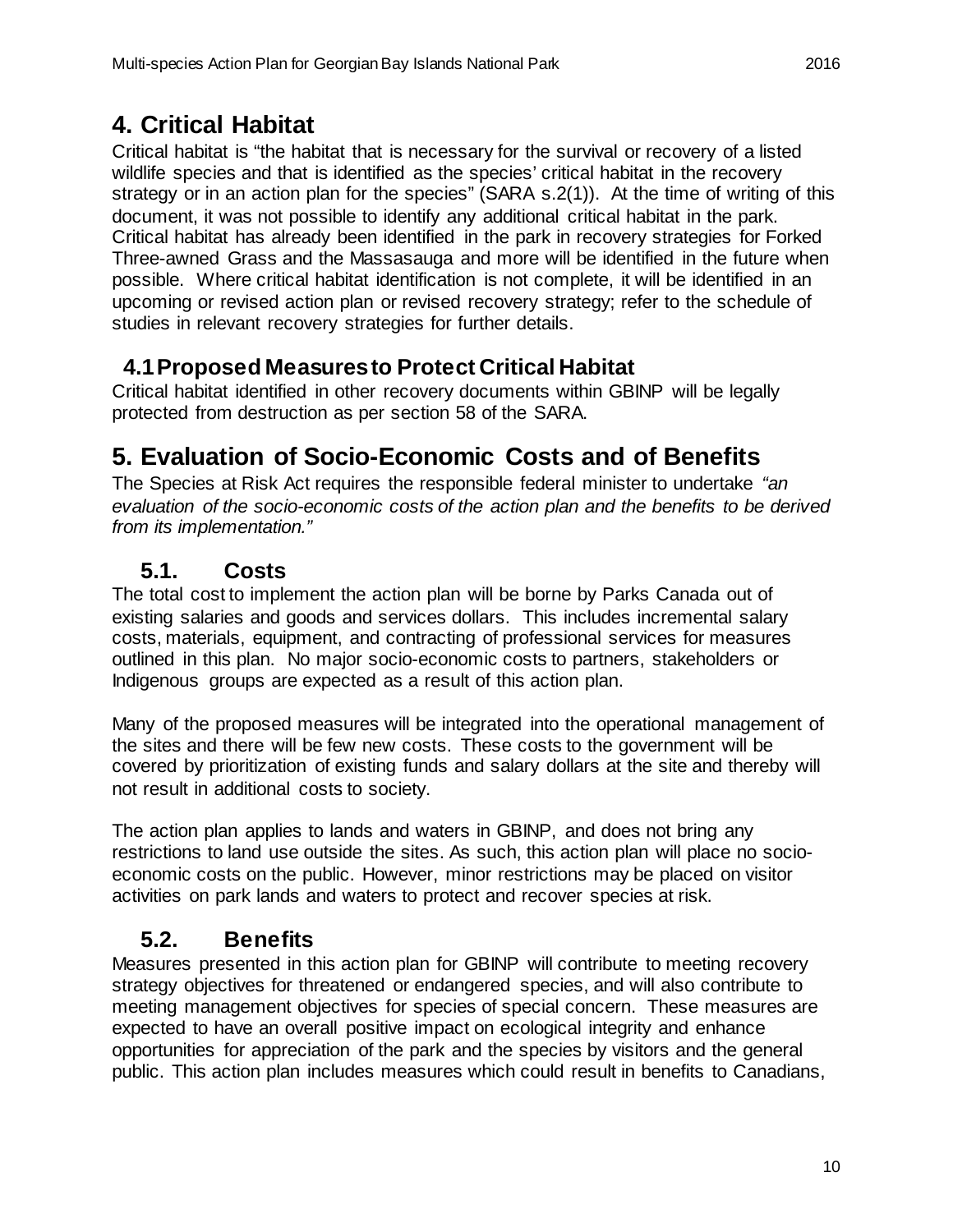## <span id="page-15-0"></span>**4. Critical Habitat**

Critical habitat is "the habitat that is necessary for the survival or recovery of a listed wildlife species and that is identified as the species' critical habitat in the recovery strategy or in an action plan for the species" (SARA s.2(1)). At the time of writing of this document, it was not possible to identify any additional critical habitat in the park. Critical habitat has already been identified in the park in recovery strategies for Forked Three-awned Grass and the Massasauga and more will be identified in the future when possible. Where critical habitat identification is not complete, it will be identified in an upcoming or revised action plan or revised recovery strategy; refer to the schedule of studies in relevant recovery strategies for further details.

#### <span id="page-15-1"></span>**4.1Proposed Measures to Protect Critical Habitat**

Critical habitat identified in other recovery documents within GBINP will be legally protected from destruction as per section 58 of the SARA.

#### <span id="page-15-2"></span>**5. Evaluation of Socio-Economic Costs and of Benefits**

The Species at Risk Act requires the responsible federal minister to undertake *"an evaluation of the socio-economic costs of the action plan and the benefits to be derived from its implementation."*

#### <span id="page-15-3"></span>**5.1. Costs**

The total cost to implement the action plan will be borne by Parks Canada out of existing salaries and goods and services dollars. This includes incremental salary costs, materials, equipment, and contracting of professional services for measures outlined in this plan. No major socio-economic costs to partners, stakeholders or Indigenous groups are expected as a result of this action plan.

Many of the proposed measures will be integrated into the operational management of the sites and there will be few new costs. These costs to the government will be covered by prioritization of existing funds and salary dollars at the site and thereby will not result in additional costs to society.

The action plan applies to lands and waters in GBINP, and does not bring any restrictions to land use outside the sites. As such, this action plan will place no socioeconomic costs on the public. However, minor restrictions may be placed on visitor activities on park lands and waters to protect and recover species at risk.

#### <span id="page-15-4"></span>**5.2. Benefits**

Measures presented in this action plan for GBINP will contribute to meeting recovery strategy objectives for threatened or endangered species, and will also contribute to meeting management objectives for species of special concern. These measures are expected to have an overall positive impact on ecological integrity and enhance opportunities for appreciation of the park and the species by visitors and the general public. This action plan includes measures which could result in benefits to Canadians,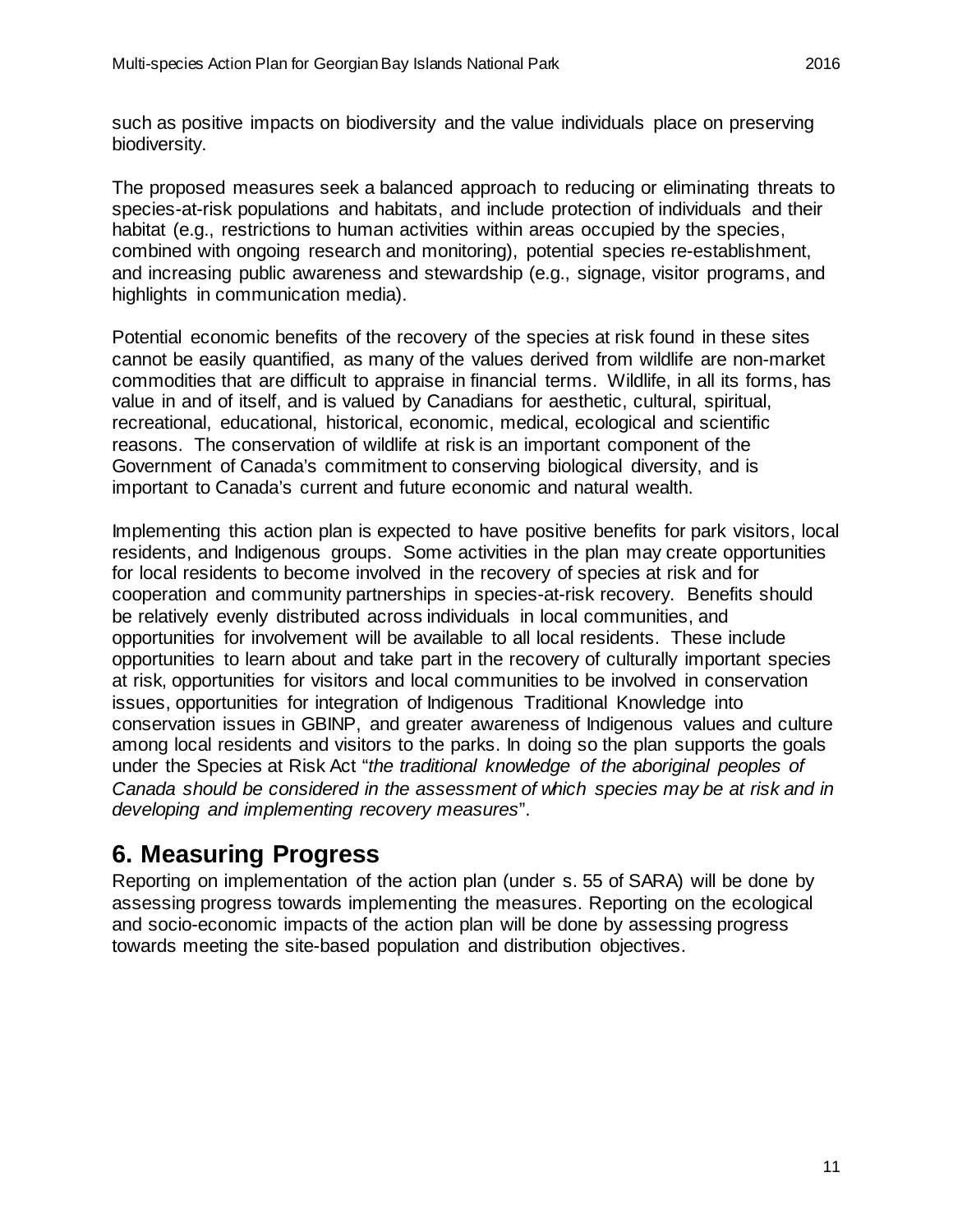such as positive impacts on biodiversity and the value individuals place on preserving biodiversity.

The proposed measures seek a balanced approach to reducing or eliminating threats to species-at-risk populations and habitats, and include protection of individuals and their habitat (e.g., restrictions to human activities within areas occupied by the species, combined with ongoing research and monitoring), potential species re-establishment, and increasing public awareness and stewardship (e.g., signage, visitor programs, and highlights in communication media).

Potential economic benefits of the recovery of the species at risk found in these sites cannot be easily quantified, as many of the values derived from wildlife are non-market commodities that are difficult to appraise in financial terms. Wildlife, in all its forms, has value in and of itself, and is valued by Canadians for aesthetic, cultural, spiritual, recreational, educational, historical, economic, medical, ecological and scientific reasons. The conservation of wildlife at risk is an important component of the Government of Canada's commitment to conserving biological diversity, and is important to Canada's current and future economic and natural wealth.

Implementing this action plan is expected to have positive benefits for park visitors, local residents, and Indigenous groups. Some activities in the plan may create opportunities for local residents to become involved in the recovery of species at risk and for cooperation and community partnerships in species-at-risk recovery. Benefits should be relatively evenly distributed across individuals in local communities, and opportunities for involvement will be available to all local residents. These include opportunities to learn about and take part in the recovery of culturally important species at risk, opportunities for visitors and local communities to be involved in conservation issues, opportunities for integration of Indigenous Traditional Knowledge into conservation issues in GBINP, and greater awareness of Indigenous values and culture among local residents and visitors to the parks. In doing so the plan supports the goals under the Species at Risk Act "*the traditional knowledge of the aboriginal peoples of Canada should be considered in the assessment of which species may be at risk and in developing and implementing recovery measures*".

## <span id="page-16-0"></span>**6. Measuring Progress**

Reporting on implementation of the action plan (under s. 55 of SARA) will be done by assessing progress towards implementing the measures. Reporting on the ecological and socio-economic impacts of the action plan will be done by assessing progress towards meeting the site-based population and distribution objectives.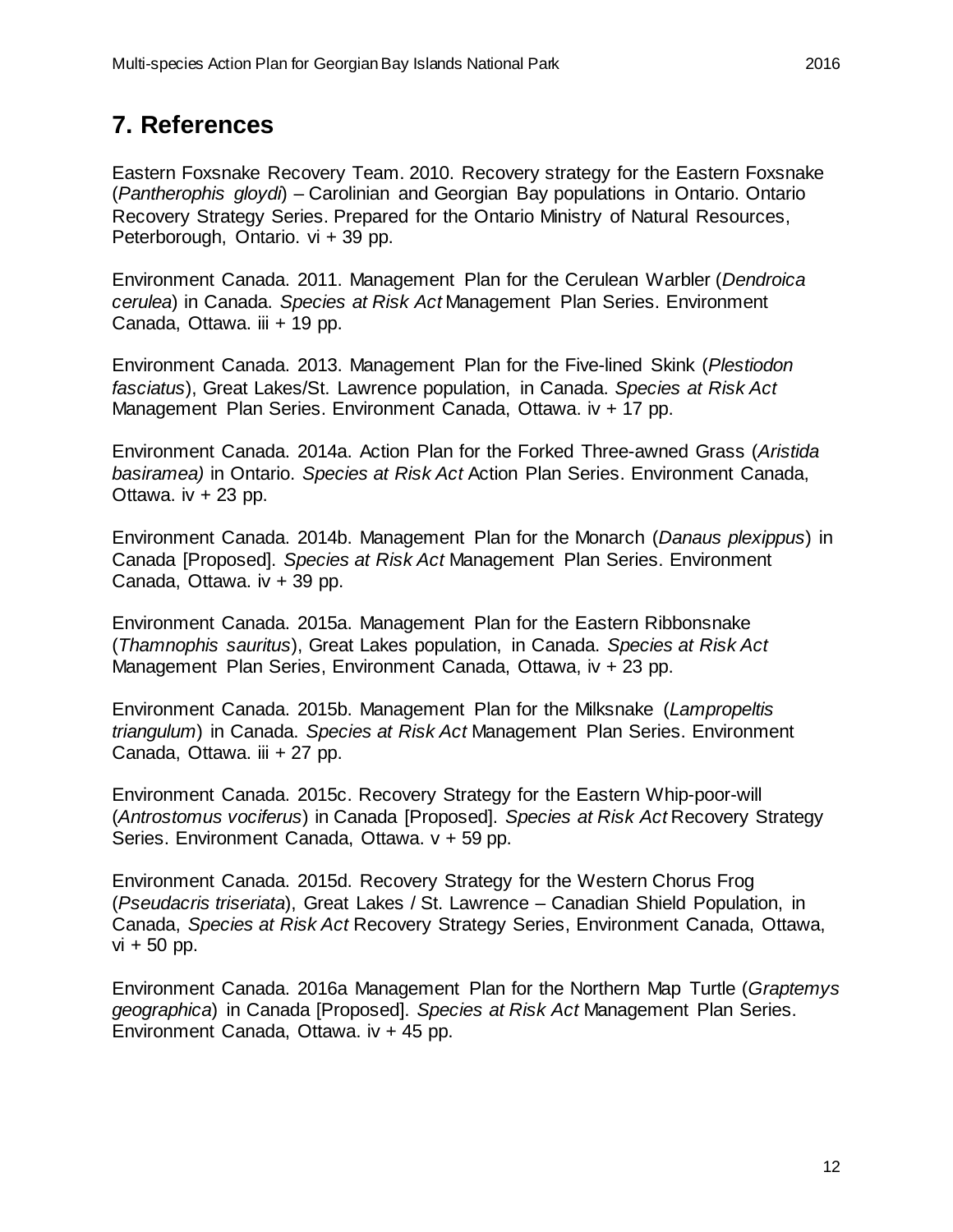### <span id="page-17-0"></span>**7. References**

Eastern Foxsnake Recovery Team. 2010. Recovery strategy for the Eastern Foxsnake (*Pantherophis gloydi*) – Carolinian and Georgian Bay populations in Ontario. Ontario Recovery Strategy Series. Prepared for the Ontario Ministry of Natural Resources, Peterborough, Ontario. vi + 39 pp.

Environment Canada. 2011. Management Plan for the Cerulean Warbler (*Dendroica cerulea*) in Canada. *Species at Risk Act* Management Plan Series. Environment Canada, Ottawa. iii + 19 pp.

Environment Canada. 2013. Management Plan for the Five-lined Skink (*Plestiodon fasciatus*), Great Lakes/St. Lawrence population, in Canada. *Species at Risk Act*  Management Plan Series. Environment Canada, Ottawa. iv + 17 pp.

Environment Canada. 2014a. Action Plan for the Forked Three-awned Grass (*Aristida basiramea)* in Ontario. *Species at Risk Act* Action Plan Series. Environment Canada, Ottawa. iv  $+23$  pp.

Environment Canada. 2014b. Management Plan for the Monarch (*Danaus plexippus*) in Canada [Proposed]. *Species at Risk Act* Management Plan Series. Environment Canada, Ottawa. iv + 39 pp.

Environment Canada. 2015a. Management Plan for the Eastern Ribbonsnake (*Thamnophis sauritus*), Great Lakes population, in Canada. *Species at Risk Act* Management Plan Series, Environment Canada, Ottawa, iv + 23 pp.

Environment Canada. 2015b. Management Plan for the Milksnake (*Lampropeltis triangulum*) in Canada. *Species at Risk Act* Management Plan Series. Environment Canada, Ottawa. iii + 27 pp.

Environment Canada. 2015c. Recovery Strategy for the Eastern Whip-poor-will (*Antrostomus vociferus*) in Canada [Proposed]. *Species at Risk Act* Recovery Strategy Series. Environment Canada, Ottawa. v + 59 pp.

Environment Canada. 2015d. Recovery Strategy for the Western Chorus Frog (*Pseudacris triseriata*), Great Lakes / St. Lawrence – Canadian Shield Population, in Canada, *Species at Risk Act* Recovery Strategy Series, Environment Canada, Ottawa,  $vi + 50$  pp.

Environment Canada. 2016a Management Plan for the Northern Map Turtle (*Graptemys geographica*) in Canada [Proposed]. *Species at Risk Act* Management Plan Series. Environment Canada, Ottawa. iv + 45 pp.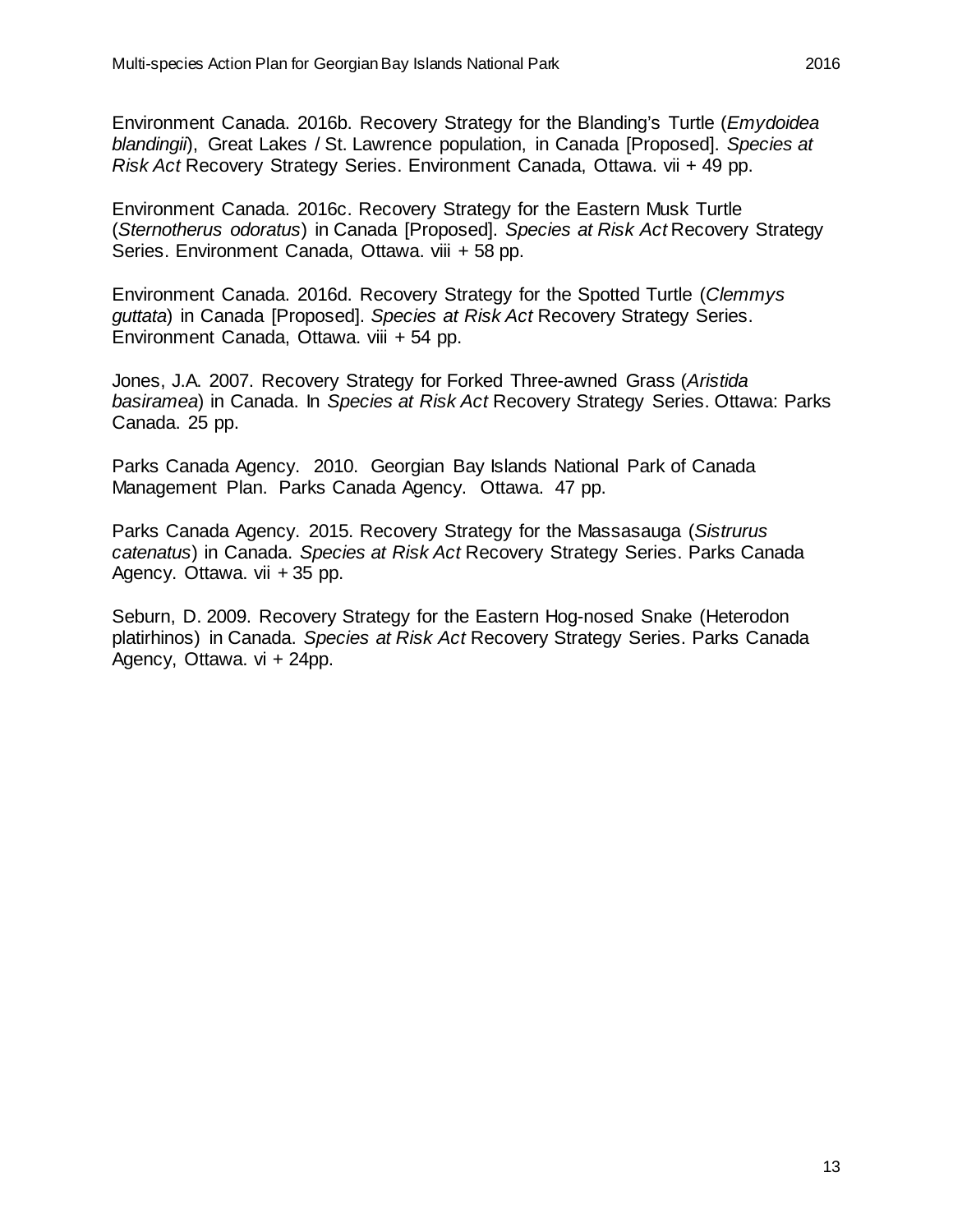Environment Canada. 2016c. Recovery Strategy for the Eastern Musk Turtle (*Sternotherus odoratus*) in Canada [Proposed]. *Species at Risk Act* Recovery Strategy Series. Environment Canada, Ottawa. viii + 58 pp.

Environment Canada. 2016d. Recovery Strategy for the Spotted Turtle (*Clemmys guttata*) in Canada [Proposed]. *Species at Risk Act* Recovery Strategy Series. Environment Canada, Ottawa. viii + 54 pp.

Jones, J.A. 2007. Recovery Strategy for Forked Three-awned Grass (*Aristida basiramea*) in Canada. In *Species at Risk Act* Recovery Strategy Series. Ottawa: Parks Canada. 25 pp.

Parks Canada Agency. 2010. Georgian Bay Islands National Park of Canada Management Plan. Parks Canada Agency. Ottawa. 47 pp.

Parks Canada Agency. 2015. Recovery Strategy for the Massasauga (*Sistrurus catenatus*) in Canada. *Species at Risk Act* Recovery Strategy Series. Parks Canada Agency. Ottawa. vii + 35 pp.

Seburn, D. 2009. Recovery Strategy for the Eastern Hog-nosed Snake (Heterodon platirhinos) in Canada. *Species at Risk Act* Recovery Strategy Series. Parks Canada Agency, Ottawa. vi + 24pp.